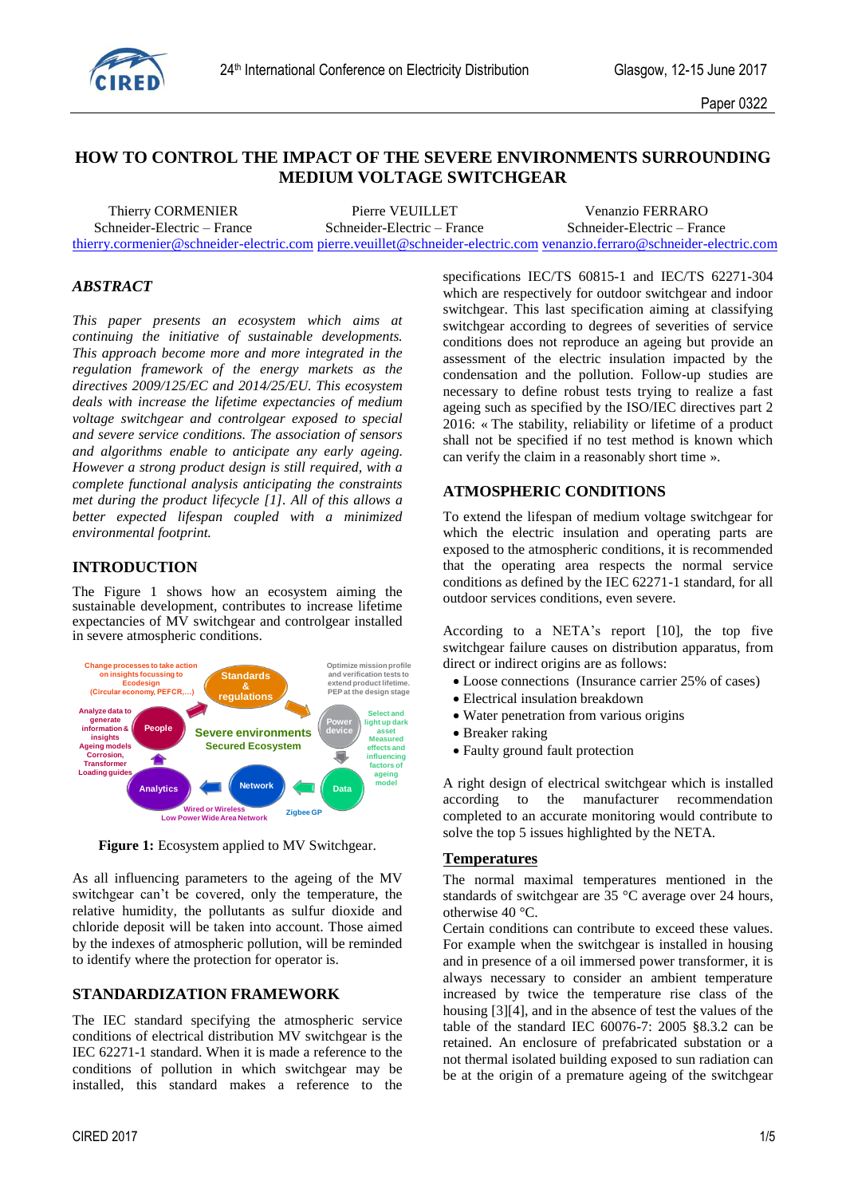

# **HOW TO CONTROL THE IMPACT OF THE SEVERE ENVIRONMENTS SURROUNDING MEDIUM VOLTAGE SWITCHGEAR**

| <b>Thierry CORMENIER</b>    | Pierre VEUILLET             | Venanzio FERRARO                                                                                                        |
|-----------------------------|-----------------------------|-------------------------------------------------------------------------------------------------------------------------|
| Schneider-Electric – France | Schneider-Electric – France | Schneider-Electric – France                                                                                             |
|                             |                             | thierry.cormenier@schneider-electric.com pierre.veuillet@schneider-electric.com venanzio.ferraro@schneider-electric.com |

#### *ABSTRACT*

*This paper presents an ecosystem which aims at continuing the initiative of sustainable developments. This approach become more and more integrated in the regulation framework of the energy markets as the directives 2009/125/EC and 2014/25/EU. This ecosystem deals with increase the lifetime expectancies of medium voltage switchgear and controlgear exposed to special and severe service conditions. The association of sensors and algorithms enable to anticipate any early ageing. However a strong product design is still required, with a complete functional analysis anticipating the constraints met during the product lifecycle [1]. All of this allows a better expected lifespan coupled with a minimized environmental footprint.*

## **INTRODUCTION**

The Figure 1 shows how an ecosystem aiming the sustainable development, contributes to increase lifetime expectancies of MV switchgear and controlgear installed in severe atmospheric conditions.



**Figure 1:** Ecosystem applied to MV Switchgear.

As all influencing parameters to the ageing of the MV switchgear can't be covered, only the temperature, the relative humidity, the pollutants as sulfur dioxide and chloride deposit will be taken into account. Those aimed by the indexes of atmospheric pollution, will be reminded to identify where the protection for operator is.

## **STANDARDIZATION FRAMEWORK**

The IEC standard specifying the atmospheric service conditions of electrical distribution MV switchgear is the IEC 62271-1 standard. When it is made a reference to the conditions of pollution in which switchgear may be installed, this standard makes a reference to the

specifications IEC/TS 60815-1 and IEC/TS 62271-304 which are respectively for outdoor switchgear and indoor switchgear. This last specification aiming at classifying switchgear according to degrees of severities of service conditions does not reproduce an ageing but provide an assessment of the electric insulation impacted by the condensation and the pollution. Follow-up studies are necessary to define robust tests trying to realize a fast ageing such as specified by the ISO/IEC directives part 2 2016: « The stability, reliability or lifetime of a product shall not be specified if no test method is known which can verify the claim in a reasonably short time ».

### **ATMOSPHERIC CONDITIONS**

To extend the lifespan of medium voltage switchgear for which the electric insulation and operating parts are exposed to the atmospheric conditions, it is recommended that the operating area respects the normal service conditions as defined by the IEC 62271-1 standard, for all outdoor services conditions, even severe.

According to a NETA's report [10], the top five switchgear failure causes on distribution apparatus, from direct or indirect origins are as follows:

- Loose connections (Insurance carrier 25% of cases)
- Electrical insulation breakdown
- Water penetration from various origins
- Breaker raking
- Faulty ground fault protection

A right design of electrical switchgear which is installed according to the manufacturer recommendation completed to an accurate monitoring would contribute to solve the top 5 issues highlighted by the NETA.

#### **Temperatures**

The normal maximal temperatures mentioned in the standards of switchgear are 35 °C average over 24 hours, otherwise 40 °C.

Certain conditions can contribute to exceed these values. For example when the switchgear is installed in housing and in presence of a oil immersed power transformer, it is always necessary to consider an ambient temperature increased by twice the temperature rise class of the housing [3][4], and in the absence of test the values of the table of the standard IEC 60076-7: 2005 §8.3.2 can be retained. An enclosure of prefabricated substation or a not thermal isolated building exposed to sun radiation can be at the origin of a premature ageing of the switchgear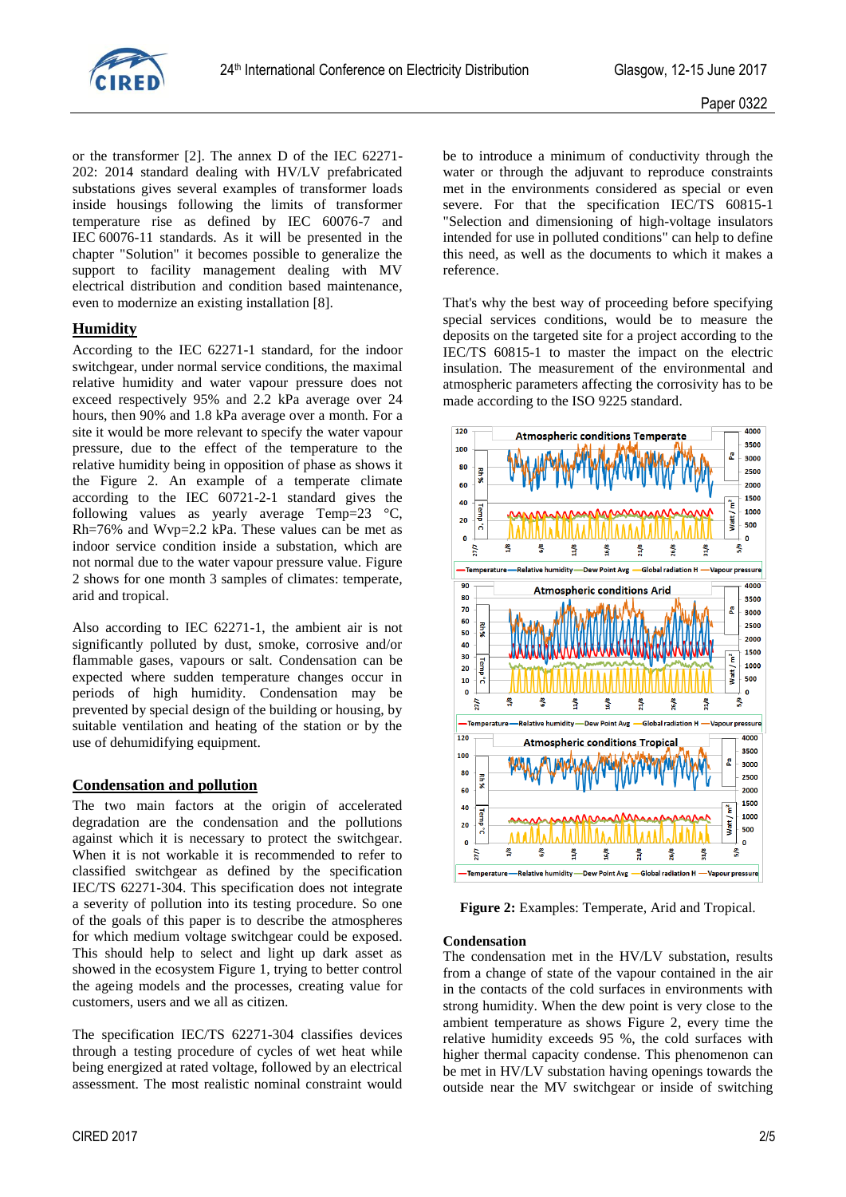

or the transformer [2]. The annex D of the IEC 62271- 202: 2014 standard dealing with HV/LV prefabricated substations gives several examples of transformer loads inside housings following the limits of transformer temperature rise as defined by IEC 60076-7 and IEC 60076-11 standards. As it will be presented in the chapter "Solution" it becomes possible to generalize the support to facility management dealing with MV electrical distribution and condition based maintenance, even to modernize an existing installation [8].

### **Humidity**

According to the IEC 62271-1 standard, for the indoor switchgear, under normal service conditions, the maximal relative humidity and water vapour pressure does not exceed respectively 95% and 2.2 kPa average over 24 hours, then 90% and 1.8 kPa average over a month. For a site it would be more relevant to specify the water vapour pressure, due to the effect of the temperature to the relative humidity being in opposition of phase as shows it the Figure 2. An example of a temperate climate according to the IEC 60721-2-1 standard gives the following values as yearly average Temp=23 °C, Rh=76% and Wvp=2.2 kPa. These values can be met as indoor service condition inside a substation, which are not normal due to the water vapour pressure value. Figure 2 shows for one month 3 samples of climates: temperate, arid and tropical.

Also according to IEC 62271-1, the ambient air is not significantly polluted by dust, smoke, corrosive and/or flammable gases, vapours or salt. Condensation can be expected where sudden temperature changes occur in periods of high humidity. Condensation may be prevented by special design of the building or housing, by suitable ventilation and heating of the station or by the use of dehumidifying equipment.

### **Condensation and pollution**

The two main factors at the origin of accelerated degradation are the condensation and the pollutions against which it is necessary to protect the switchgear. When it is not workable it is recommended to refer to classified switchgear as defined by the specification IEC/TS 62271-304. This specification does not integrate a severity of pollution into its testing procedure. So one of the goals of this paper is to describe the atmospheres for which medium voltage switchgear could be exposed. This should help to select and light up dark asset as showed in the ecosystem Figure 1, trying to better control the ageing models and the processes, creating value for customers, users and we all as citizen.

The specification IEC/TS 62271-304 classifies devices through a testing procedure of cycles of wet heat while being energized at rated voltage, followed by an electrical assessment. The most realistic nominal constraint would be to introduce a minimum of conductivity through the water or through the adjuvant to reproduce constraints met in the environments considered as special or even severe. For that the specification IEC/TS 60815-1 "Selection and dimensioning of high-voltage insulators intended for use in polluted conditions" can help to define this need, as well as the documents to which it makes a reference.

That's why the best way of proceeding before specifying special services conditions, would be to measure the deposits on the targeted site for a project according to the IEC/TS 60815-1 to master the impact on the electric insulation. The measurement of the environmental and atmospheric parameters affecting the corrosivity has to be made according to the ISO 9225 standard.



**Figure 2:** Examples: Temperate, Arid and Tropical.

### **Condensation**

The condensation met in the HV/LV substation, results from a change of state of the vapour contained in the air in the contacts of the cold surfaces in environments with strong humidity. When the dew point is very close to the ambient temperature as shows Figure 2, every time the relative humidity exceeds 95 %, the cold surfaces with higher thermal capacity condense. This phenomenon can be met in HV/LV substation having openings towards the outside near the MV switchgear or inside of switching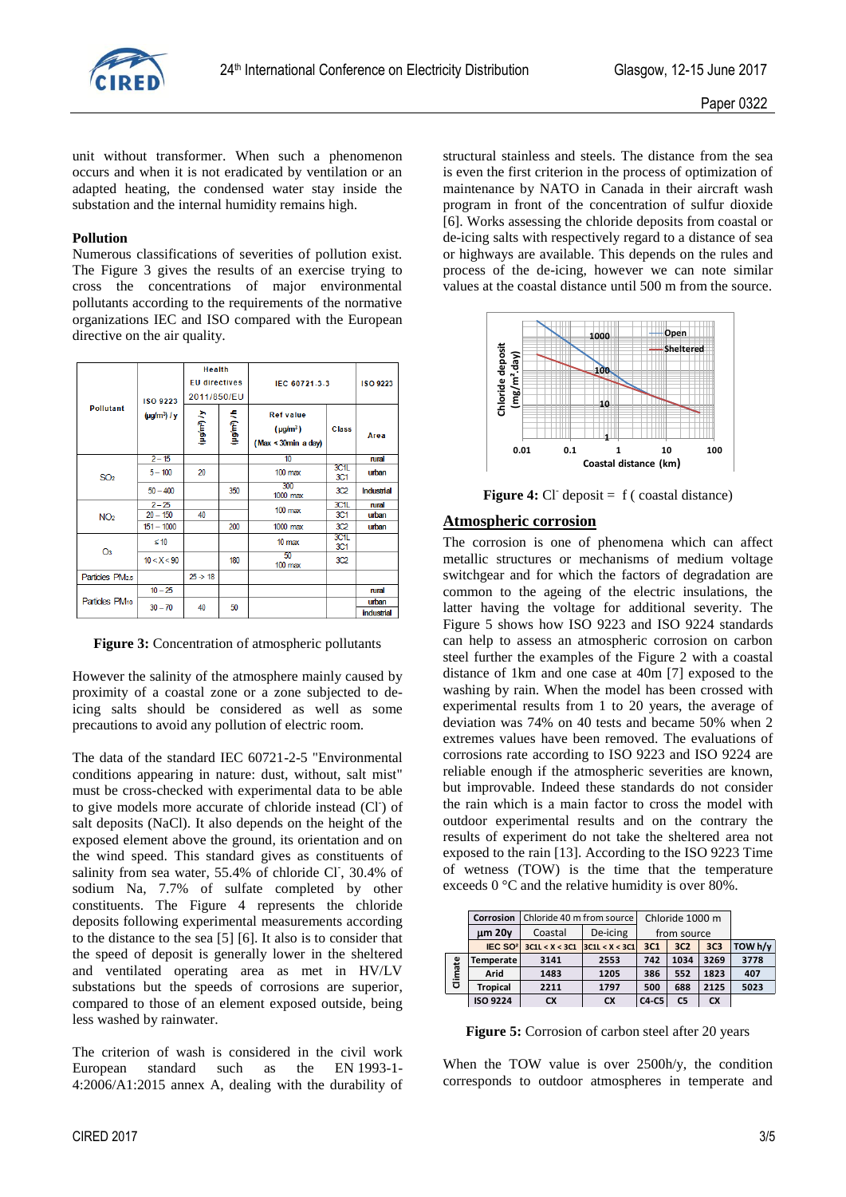

unit without transformer. When such a phenomenon occurs and when it is not eradicated by ventilation or an adapted heating, the condensed water stay inside the substation and the internal humidity remains high.

#### **Pollution**

Numerous classifications of severities of pollution exist. The Figure 3 gives the results of an exercise trying to cross the concentrations of major environmental pollutants according to the requirements of the normative organizations IEC and ISO compared with the European directive on the air quality.

|                            | <b>ISO 9223</b><br>$(\mu g/m^3)$ / y | Health<br><b>EU directives</b><br>2011/850/EU |          | IEC 60721-3-3                                               |              | <b>ISO 9223</b>   |
|----------------------------|--------------------------------------|-----------------------------------------------|----------|-------------------------------------------------------------|--------------|-------------------|
| <b>Pollutant</b>           |                                      | ⁄ا (Hg/m <sup>2</sup> )                       | ur (man) | <b>Ref value</b><br>$(\mu g/m^3)$<br>$(Max < 30$ min a day) | <b>Class</b> | Area              |
|                            | $2 - 15$                             |                                               |          | 10                                                          |              | rural             |
| SO <sub>2</sub>            | $5 - 100$                            | 20                                            |          | 3C1L<br>$100$ max<br>3C <sub>1</sub>                        |              | urban             |
|                            | $50 - 400$                           |                                               | 350      | 300<br>1000 max                                             | 3C2          | <b>Industrial</b> |
| NO <sub>2</sub>            | $2 - 25$                             |                                               |          | $100$ max                                                   | 3C1L         | rural             |
|                            | $20 - 150$                           | 40                                            |          |                                                             | 3C1          | urban             |
|                            | $151 - 1000$                         |                                               | 200      | 1000 max                                                    | 3C2          | urban             |
| O <sub>3</sub>             | $\leq 10$                            |                                               |          | $10$ max                                                    | 3C1L<br>3C1  |                   |
|                            | 10 < X < 90                          |                                               | 180      | 50<br>$100$ max                                             | 3C2          |                   |
| Particles PM <sub>25</sub> |                                      | $25 \div 18$                                  |          |                                                             |              |                   |
| Particles PM <sub>10</sub> | $10 - 25$                            |                                               |          |                                                             |              | rural             |
|                            | $30 - 70$<br>40                      |                                               | 50       |                                                             |              | urban             |
|                            |                                      |                                               |          |                                                             |              | industrial        |

**Figure 3:** Concentration of atmospheric pollutants

However the salinity of the atmosphere mainly caused by proximity of a coastal zone or a zone subjected to deicing salts should be considered as well as some precautions to avoid any pollution of electric room.

The data of the standard IEC 60721-2-5 "Environmental conditions appearing in nature: dust, without, salt mist" must be cross-checked with experimental data to be able to give models more accurate of chloride instead (Cl<sup>-</sup>) of salt deposits (NaCl). It also depends on the height of the exposed element above the ground, its orientation and on the wind speed. This standard gives as constituents of salinity from sea water, 55.4% of chloride Cl, 30.4% of sodium Na, 7.7% of sulfate completed by other constituents. The Figure 4 represents the chloride deposits following experimental measurements according to the distance to the sea [5] [6]. It also is to consider that the speed of deposit is generally lower in the sheltered and ventilated operating area as met in HV/LV substations but the speeds of corrosions are superior, compared to those of an element exposed outside, being less washed by rainwater.

The criterion of wash is considered in the civil work European standard such as the EN 1993-1- 4:2006/A1:2015 annex A, dealing with the durability of structural stainless and steels. The distance from the sea is even the first criterion in the process of optimization of maintenance by NATO in Canada in their aircraft wash program in front of the concentration of sulfur dioxide [6]. Works assessing the chloride deposits from coastal or de-icing salts with respectively regard to a distance of sea or highways are available. This depends on the rules and process of the de-icing, however we can note similar values at the coastal distance until 500 m from the source.



**Figure 4:**  $CI<sup>T</sup>$  deposit =  $f$  (coastal distance)

### **Atmospheric corrosion**

The corrosion is one of phenomena which can affect metallic structures or mechanisms of medium voltage switchgear and for which the factors of degradation are common to the ageing of the electric insulations, the latter having the voltage for additional severity. The Figure 5 shows how ISO 9223 and ISO 9224 standards can help to assess an atmospheric corrosion on carbon steel further the examples of the Figure 2 with a coastal distance of 1km and one case at 40m [7] exposed to the washing by rain. When the model has been crossed with experimental results from 1 to 20 years, the average of deviation was 74% on 40 tests and became 50% when 2 extremes values have been removed. The evaluations of corrosions rate according to ISO 9223 and ISO 9224 are reliable enough if the atmospheric severities are known, but improvable. Indeed these standards do not consider the rain which is a main factor to cross the model with outdoor experimental results and on the contrary the results of experiment do not take the sheltered area not exposed to the rain [13]. According to the ISO 9223 Time of wetness (TOW) is the time that the temperature exceeds 0 °C and the relative humidity is over 80%.

|         | Corrosion        | Chloride 40 m from source           | Chloride 1000 m |             |                 |                 |         |
|---------|------------------|-------------------------------------|-----------------|-------------|-----------------|-----------------|---------|
|         | $\mu$ m 20 $\mu$ | Coastal                             | De-icing        | from source |                 |                 |         |
|         |                  | EC SO <sup>2</sup>   3C1L < X < 3C1 | 3CL < X < 3C1   | 3C1         | 3C <sub>2</sub> | 3C <sub>3</sub> | TOW h/y |
|         | <b>Temperate</b> | 3141                                | 2553            | 742         | 1034            | 3269            | 3778    |
| Climate | Arid             | 1483                                | 1205            | 386         | 552             | 1823            | 407     |
|         | <b>Tropical</b>  | 2211                                | 1797            | 500         | 688             | 2125            | 5023    |
|         | <b>ISO 9224</b>  | CX                                  | <b>CX</b>       | $C4-C5$     | C <sub>5</sub>  | <b>CX</b>       |         |

**Figure 5:** Corrosion of carbon steel after 20 years

When the TOW value is over 2500h/y, the condition corresponds to outdoor atmospheres in temperate and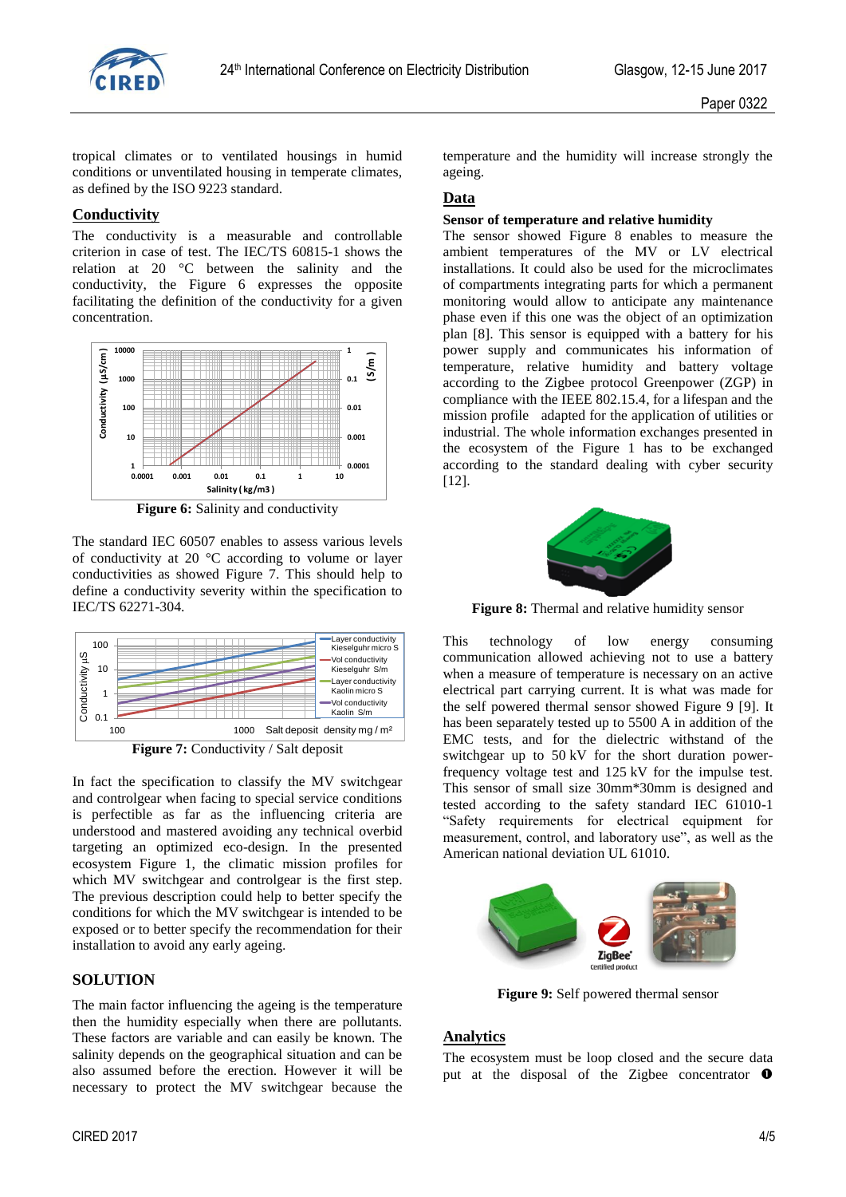

tropical climates or to ventilated housings in humid conditions or unventilated housing in temperate climates, as defined by the ISO 9223 standard.

#### **Conductivity**

The conductivity is a measurable and controllable criterion in case of test. The IEC/TS 60815-1 shows the relation at 20 °C between the salinity and the conductivity, the Figure 6 expresses the opposite facilitating the definition of the conductivity for a given concentration.



**Figure 6:** Salinity and conductivity

The standard IEC 60507 enables to assess various levels of conductivity at 20 °C according to volume or layer conductivities as showed Figure 7. This should help to define a conductivity severity within the specification to IEC/TS 62271-304.



**Figure 7:** Conductivity / Salt deposit

In fact the specification to classify the MV switchgear and controlgear when facing to special service conditions is perfectible as far as the influencing criteria are understood and mastered avoiding any technical overbid targeting an optimized eco-design. In the presented ecosystem Figure 1, the climatic mission profiles for which MV switchgear and controlgear is the first step. The previous description could help to better specify the conditions for which the MV switchgear is intended to be exposed or to better specify the recommendation for their installation to avoid any early ageing.

#### **SOLUTION**

The main factor influencing the ageing is the temperature then the humidity especially when there are pollutants. These factors are variable and can easily be known. The salinity depends on the geographical situation and can be also assumed before the erection. However it will be necessary to protect the MV switchgear because the temperature and the humidity will increase strongly the ageing.

### **Data**

#### **Sensor of temperature and relative humidity**

The sensor showed Figure 8 enables to measure the ambient temperatures of the MV or LV electrical installations. It could also be used for the microclimates of compartments integrating parts for which a permanent monitoring would allow to anticipate any maintenance phase even if this one was the object of an optimization plan [8]. This sensor is equipped with a battery for his power supply and communicates his information of temperature, relative humidity and battery voltage according to the Zigbee protocol Greenpower (ZGP) in compliance with the IEEE 802.15.4, for a lifespan and the mission profile adapted for the application of utilities or industrial. The whole information exchanges presented in the ecosystem of the Figure 1 has to be exchanged according to the standard dealing with cyber security [12].



**Figure 8:** Thermal and relative humidity sensor

This technology of low energy consuming communication allowed achieving not to use a battery when a measure of temperature is necessary on an active electrical part carrying current. It is what was made for the self powered thermal sensor showed Figure 9 [9]. It has been separately tested up to 5500 A in addition of the EMC tests, and for the dielectric withstand of the switchgear up to 50 kV for the short duration powerfrequency voltage test and 125 kV for the impulse test. This sensor of small size 30mm\*30mm is designed and tested according to the safety standard IEC 61010-1 "Safety requirements for electrical equipment for measurement, control, and laboratory use", as well as the American national deviation UL 61010.



**Figure 9:** Self powered thermal sensor

#### **Analytics**

The ecosystem must be loop closed and the secure data put at the disposal of the Zigbee concentrator  $\bullet$